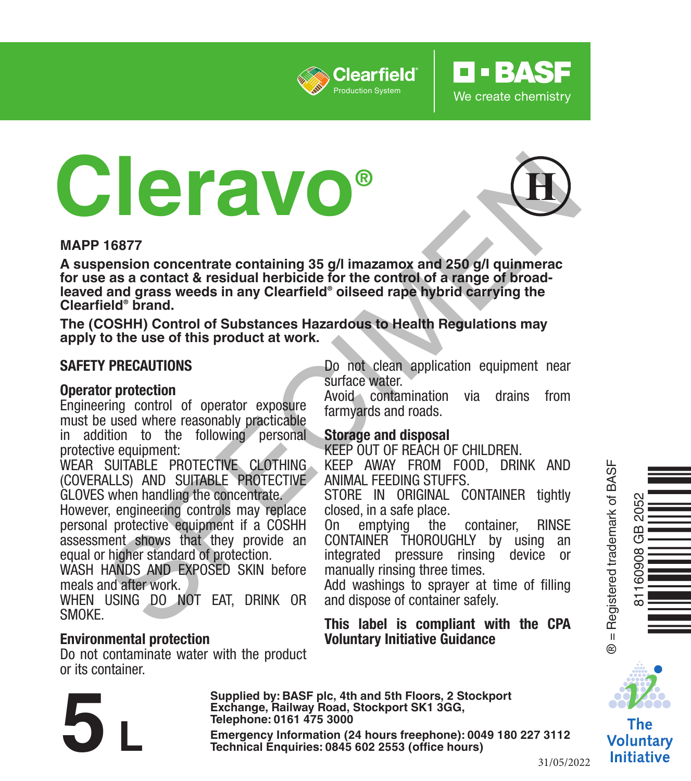

# **Cleravo®**



**O** · BASF

We create chemistry

#### **MAPP 16877**

**A suspension concentrate containing 35 g/l imazamox and 250 g/l quinmerac for use as a contact & residual herbicide for the control of a range of broadleaved and grass weeds in any Clearfield® oilseed rape hybrid carrying the Clearfield® brand. Example 19 and the state of the state of the control of the control of the control of the control of the control of the control of the control of the control of the control of the control of State (COSHH) Control of Subst** 

**The (COSHH) Control of Substances Hazardous to Health Regulations may apply to the use of this product at work.**

#### **SAFETY PRECAUTIONS**

#### **Operator protection**

Engineering control of operator exposure must be used where reasonably practicable in addition to the following personal protective equipment:

WEAR SUITABLE PROTECTIVE CLOTHING (COVERALLS) AND SUITABLE PROTECTIVE GLOVES when handling the concentrate.

However, engineering controls may replace personal protective equipment if a COSHH assessment shows that they provide an equal or higher standard of protection.

WASH HANDS AND EXPOSED SKIN before meals and after work.

WHEN USING DO NOT EAT, DRINK OR SMOKE.

#### **Environmental protection**

Do not contaminate water with the product or its container.

Do not clean application equipment near surface water.

Avoid contamination via drains from farmyards and roads.

#### **Storage and disposal**

KEEP OUT OF REACH OF CHILDREN.

KEEP AWAY FROM FOOD, DRINK AND ANIMAL FEEDING STUFFS.

STORE IN ORIGINAL CONTAINER tightly closed, in a safe place.<br>On emptying the

On emptying the container, RINSE CONTAINER THOROUGHLY by using an integrated pressure rinsing device or manually rinsing three times.

Add washings to sprayer at time of filling and dispose of container safely.

#### **This label is compliant with the CPA Voluntary Initiative Guidance**



The **Voluntary** Initiative

31/05/2022

**Supplied by: BASF plc, 4th and 5th Floors, 2 Stockport Exchange, Railway Road, Stockport SK1 3GG, Telephone: 0161 475 3000**

**Emergency Information (24 hours freephone): 0049 <sup>180</sup> <sup>227</sup> 3112 5 L Technical Enquiries: 0845 <sup>602</sup> 2553 (office hours)**



® = Registered trademark of BASF

= Registered trademark of BASF

 $\ddot{\circ}$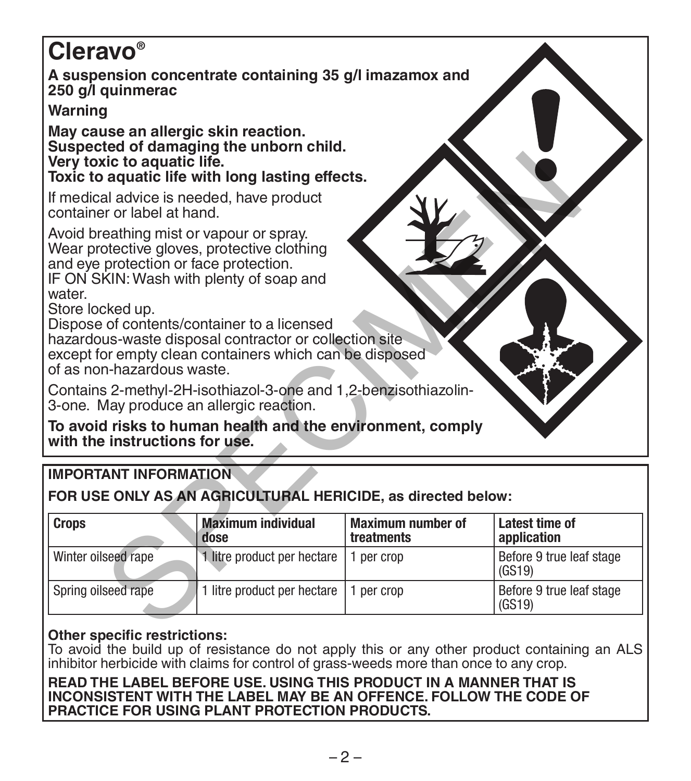# **Cleravo®**

**A suspension concentrate containing 35 g/l imazamox and 250 g/l quinmerac**

# **Warning**

**May cause an allergic skin reaction. Suspected of damaging the unborn child. Very toxic to aquatic life.**

# **IMPORTANT INFORMATION**

| Very toxic to aquatic life.                                                                                                                                                                                                                                                                                                                                                                                  | Toxic to aquatic life with long lasting effects. |                                        |                                      |
|--------------------------------------------------------------------------------------------------------------------------------------------------------------------------------------------------------------------------------------------------------------------------------------------------------------------------------------------------------------------------------------------------------------|--------------------------------------------------|----------------------------------------|--------------------------------------|
| If medical advice is needed, have product<br>container or label at hand.                                                                                                                                                                                                                                                                                                                                     |                                                  |                                        |                                      |
| Avoid breathing mist or vapour or spray.<br>Wear protective gloves, protective clothing<br>and eye protection or face protection.<br>IF ON SKIN: Wash with plenty of soap and<br>water<br>Store locked up.<br>Dispose of contents/container to a licensed<br>hazardous-waste disposal contractor or collection site<br>except for empty clean containers which can be disposed<br>of as non-hazardous waste. |                                                  |                                        |                                      |
| Contains 2-methyl-2H-isothiazol-3-one and 1,2-benzisothiazolin-<br>3-one. May produce an allergic reaction.                                                                                                                                                                                                                                                                                                  |                                                  |                                        |                                      |
| To avoid risks to human health and the environment, comply<br>with the instructions for use.                                                                                                                                                                                                                                                                                                                 |                                                  |                                        |                                      |
| <b>IMPORTANT INFORMATION</b>                                                                                                                                                                                                                                                                                                                                                                                 |                                                  |                                        |                                      |
| FOR USE ONLY AS AN AGRICULTURAL HERICIDE, as directed below:                                                                                                                                                                                                                                                                                                                                                 |                                                  |                                        |                                      |
| <b>Crops</b>                                                                                                                                                                                                                                                                                                                                                                                                 | <b>Maximum individual</b><br>dose                | <b>Maximum number of</b><br>treatments | <b>Latest time of</b><br>application |
| Winter oilseed rape                                                                                                                                                                                                                                                                                                                                                                                          | 1 litre product per hectare                      | 1 per crop                             | Before 9 true leaf stage<br>(GS19)   |
| Spring oilseed rape                                                                                                                                                                                                                                                                                                                                                                                          | 1 litre product per hectare                      | 1 per crop                             | Before 9 true leaf stage<br>(GS19)   |
|                                                                                                                                                                                                                                                                                                                                                                                                              |                                                  |                                        |                                      |

## **Other specific restrictions:**

To avoid the build up of resistance do not apply this or any other product containing an ALS inhibitor herbicide with claims for control of grass-weeds more than once to any crop.

**READ THE LABEL BEFORE USE. USING THIS PRODUCT IN A MANNER THAT IS INCONSISTENT WITH THE LABEL MAY BE AN OFFENCE. FOLLOW THE CODE OF PRACTICE FOR USING PLANT PROTECTION PRODUCTS.**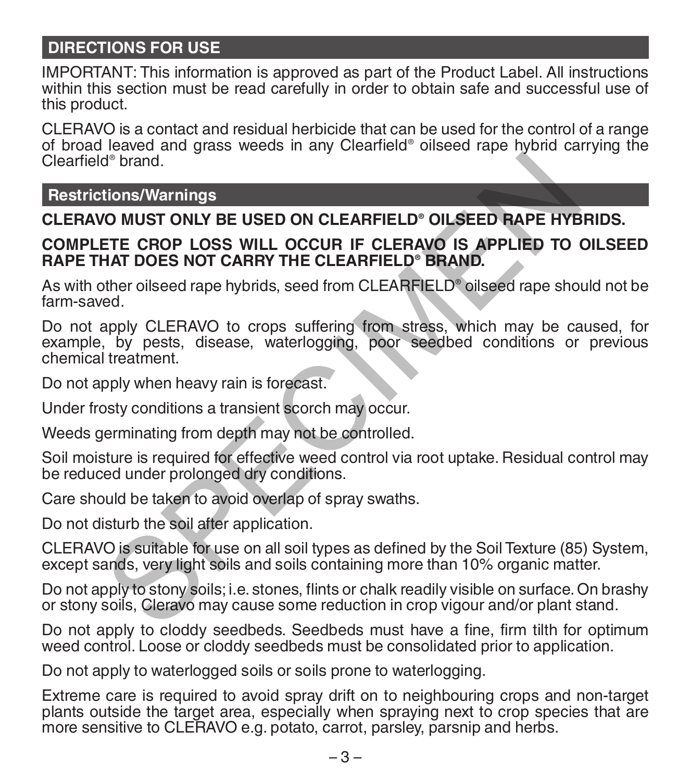# **DIRECTIONS FOR USE**

IMPORTANT: This information is approved as part of the Product Label. All instructions within this section must be read carefully in order to obtain safe and successful use of this product.

CLERAVO is a contact and residual herbicide that can be used for the control of a range of broad leaved and grass weeds in any Clearfield® oilseed rape hybrid carrying the Clearfield® brand.

**Restrictions/Warnings**

# **CLERAVO MUST ONLY BE USED ON CLEARFIELD® OILSEED RAPE HYBRIDS.**

#### **COMPLETE CROP LOSS WILL OCCUR IF CLERAVO IS APPLIED TO OILSEED RAPE THAT DOES NOT CARRY THE CLEARFIELD® BRAND.**

As with other oilseed rape hybrids, seed from CLEARFIELD® oilseed rape should not be farm-saved.

Do not apply CLERAVO to crops suffering from stress, which may be caused, for example, by pests, disease, waterlogging, poor seedbed conditions or previous chemical treatment. d<sup>®</sup> brand.<br> **COMUST ONLY BE USED ON CLEARFIELD® OILSEED RAPE HYB**<br> **ETE CROP LOSS WILL OCCUR IF CLEARFIELD® OILSEED RAPE HYB**<br> **ETE CROP LOSS WILL OCCUR IF CLEARFIELD®**<br> **COMPT DOES NOT CARRY THE CLEARFIELD®**<br> **ENDING TOE** 

Do not apply when heavy rain is forecast.

Under frosty conditions a transient scorch may occur.

Weeds germinating from depth may not be controlled.

Soil moisture is required for effective weed control via root uptake. Residual control may be reduced under prolonged dry conditions.

Care should be taken to avoid overlap of spray swaths.

Do not disturb the soil after application.

CLERAVO is suitable for use on all soil types as defined by the Soil Texture (85) System, except sands, very light soils and soils containing more than 10% organic matter.

Do not apply to stony soils; i.e. stones, flints or chalk readily visible on surface. On brashy or stony soils, Cleravo may cause some reduction in crop vigour and/or plant stand.

Do not apply to cloddy seedbeds. Seedbeds must have a fine, firm tilth for optimum weed control. Loose or cloddy seedbeds must be consolidated prior to application.

Do not apply to waterlogged soils or soils prone to waterlogging.

Extreme care is required to avoid spray drift on to neighbouring crops and non-target plants outside the target area, especially when spraying next to crop species that are more sensitive to CLERAVO e.g. potato, carrot, parsley, parsnip and herbs.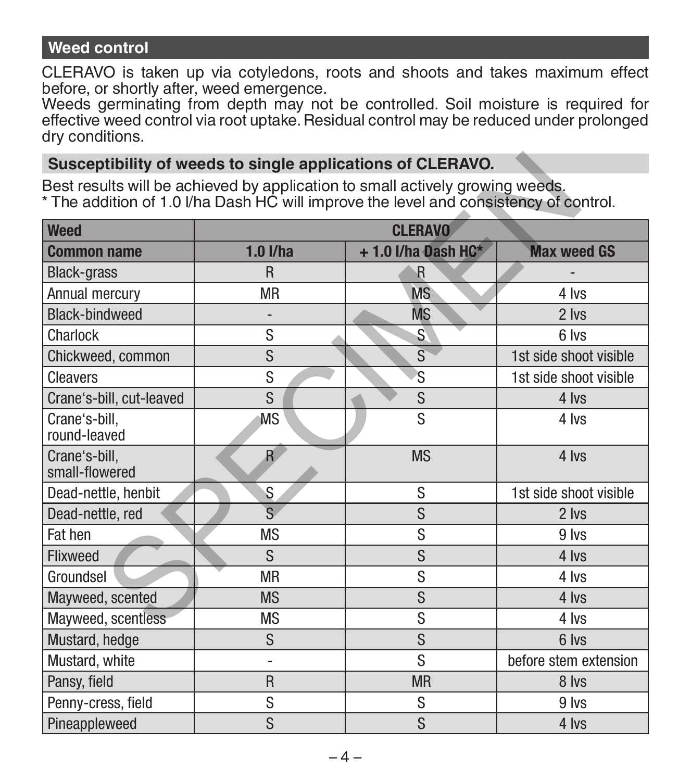# **Weed control**

CLERAVO is taken up via cotyledons, roots and shoots and takes maximum effect before, or shortly after, weed emergence.

Weeds germinating from depth may not be controlled. Soil moisture is required for effective weed control via root uptake. Residual control may be reduced under prolonged dry conditions.

#### **Susceptibility of weeds to single applications of CLERAVO.**

| Susceptibility of weeds to single applications of CLERAVO.                                                                                                             |                                                          |                         |                        |  |
|------------------------------------------------------------------------------------------------------------------------------------------------------------------------|----------------------------------------------------------|-------------------------|------------------------|--|
| Best results will be achieved by application to small actively growing weeds.<br>* The addition of 1.0 I/ha Dash HC will improve the level and consistency of control. |                                                          |                         |                        |  |
| <b>Weed</b>                                                                                                                                                            | <b>CLERAVO</b>                                           |                         |                        |  |
| <b>Common name</b>                                                                                                                                                     | $1.0$ I/ha<br><b>Max weed GS</b><br>$+1.0$ I/ha Dash HC* |                         |                        |  |
| <b>Black-grass</b>                                                                                                                                                     | R                                                        | $\mathsf{R}$            |                        |  |
| Annual mercury                                                                                                                                                         | <b>MR</b>                                                | <b>MS</b>               | 4 lvs                  |  |
| Black-bindweed                                                                                                                                                         |                                                          | <b>MS</b>               | 2 lvs                  |  |
| Charlock                                                                                                                                                               | S                                                        | $\mathbf{S}$            | 6 lvs                  |  |
| Chickweed, common                                                                                                                                                      | S                                                        | $\overline{\mathbf{s}}$ | 1st side shoot visible |  |
| Cleavers                                                                                                                                                               | S                                                        | 'S                      | 1st side shoot visible |  |
| Crane's-bill, cut-leaved                                                                                                                                               | S                                                        | S                       | 4 lvs                  |  |
| Crane's-bill,<br>round-leaved                                                                                                                                          | S<br><b>MS</b><br>4 lvs                                  |                         |                        |  |
| Crane's-bill.<br>small-flowered                                                                                                                                        | R                                                        | <b>MS</b>               | 4 lvs                  |  |
| Dead-nettle, henbit                                                                                                                                                    | S                                                        | S                       | 1st side shoot visible |  |
| Dead-nettle, red                                                                                                                                                       | $\overline{\mathbf{s}}$                                  | S                       | 2 lvs                  |  |
| Fat hen                                                                                                                                                                | <b>MS</b>                                                | S                       | 9 lvs                  |  |
| Flixweed                                                                                                                                                               | S                                                        | S                       | 4 lvs                  |  |
| Groundsel                                                                                                                                                              | <b>MR</b>                                                | S                       | 4 lvs                  |  |
| Mayweed, scented                                                                                                                                                       | <b>MS</b>                                                | S                       | 4 lvs                  |  |
| Mayweed, scentless                                                                                                                                                     | <b>MS</b>                                                | S                       | 4 lvs                  |  |
| Mustard, hedge                                                                                                                                                         | S                                                        | S                       | 6 lvs                  |  |
| Mustard, white                                                                                                                                                         | $\overline{a}$                                           | S                       | before stem extension  |  |
| Pansy, field                                                                                                                                                           | R                                                        | <b>MR</b>               | 8 lvs                  |  |
| Penny-cress, field                                                                                                                                                     | S                                                        | S                       | 9 lvs                  |  |
| Pineappleweed                                                                                                                                                          | S                                                        | S                       | 4 lvs                  |  |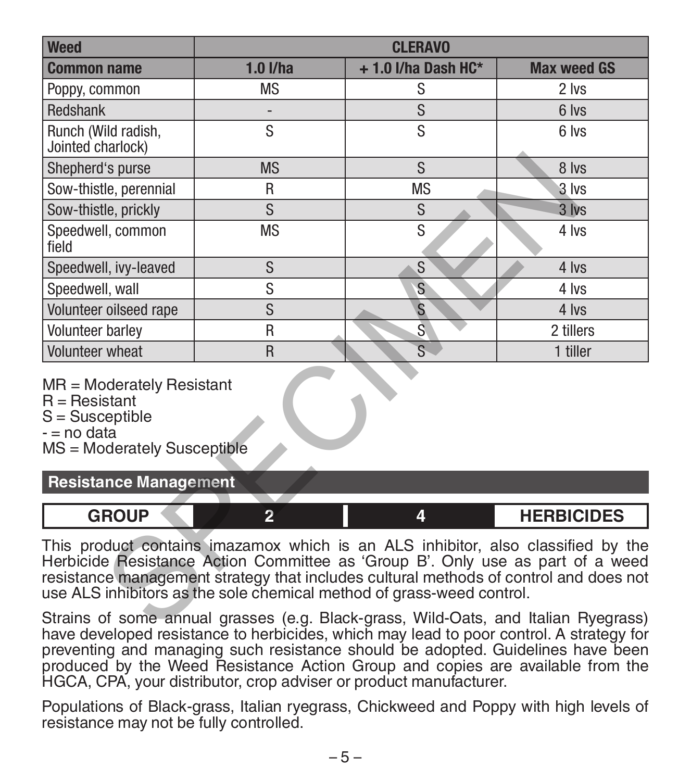| <b>Weed</b>                                                                                                                                                                                                                                                                                                                          | <b>CLERAVO</b> |                         |                    |
|--------------------------------------------------------------------------------------------------------------------------------------------------------------------------------------------------------------------------------------------------------------------------------------------------------------------------------------|----------------|-------------------------|--------------------|
| <b>Common name</b>                                                                                                                                                                                                                                                                                                                   | $1.0$ I/ha     | $+1.0$ I/ha Dash HC*    | <b>Max weed GS</b> |
| Poppy, common                                                                                                                                                                                                                                                                                                                        | <b>MS</b>      | S                       | 2 lvs              |
| Redshank                                                                                                                                                                                                                                                                                                                             |                | S                       | 6 lvs              |
| Runch (Wild radish,<br>Jointed charlock)                                                                                                                                                                                                                                                                                             | S              | s                       | 6 lvs              |
| Shepherd's purse                                                                                                                                                                                                                                                                                                                     | <b>MS</b>      | S                       | 8 lvs              |
| Sow-thistle, perennial                                                                                                                                                                                                                                                                                                               | R              | <b>MS</b>               | 3 lvs              |
| Sow-thistle, prickly                                                                                                                                                                                                                                                                                                                 | S              | S                       | $3$ lvs            |
| Speedwell, common<br>field                                                                                                                                                                                                                                                                                                           | <b>MS</b>      | S                       | 4 lvs              |
| Speedwell, ivy-leaved                                                                                                                                                                                                                                                                                                                | S              | S                       | 4 lvs              |
| Speedwell, wall                                                                                                                                                                                                                                                                                                                      | S              | S                       | 4 lvs              |
| Volunteer oilseed rape                                                                                                                                                                                                                                                                                                               | S              | $\mathbf{s}$            | 4 lvs              |
| <b>Volunteer barlev</b>                                                                                                                                                                                                                                                                                                              | R              | $\overline{\mathsf{s}}$ | 2 tillers          |
| <b>Volunteer</b> wheat                                                                                                                                                                                                                                                                                                               | R              | $\overline{s}$          | 1 tiller           |
| MR = Moderately Resistant<br>$R =$ Resistant<br>$S =$ Susceptible<br>- = no data<br>MS = Moderately Susceptible                                                                                                                                                                                                                      |                |                         |                    |
| <b>Resistance Management</b>                                                                                                                                                                                                                                                                                                         |                |                         |                    |
| <b>GROUP</b>                                                                                                                                                                                                                                                                                                                         | $\overline{2}$ | 4                       | <b>HERBICIDES</b>  |
| This product contains imazamox which is an ALS inhibitor, also classified by the<br>Herbicide Resistance Action Committee as 'Group B'. Only use as part of a weed<br>resistance management strategy that includes cultural methods of control and does not<br>use ALS inhibitors as the sole chemical method of grass-weed control. |                |                         |                    |
| Strains of some annual grasses (e.g. Black-grass, Wild-Oats, and Italian Ryegrass)                                                                                                                                                                                                                                                   |                |                         |                    |

| פווח?<br><b>CODICIDEC</b><br>ror<br><b>31しIレヒコ</b> |  |  |
|----------------------------------------------------|--|--|
|                                                    |  |  |

Strains of some annual grasses (e.g. Black-grass, Wild-Oats, and Italian Ryegrass) have developed resistance to herbicides, which may lead to poor control. A strategy for preventing and managing such resistance should be adopted. Guidelines have been produced by the Weed Resistance Action Group and copies are available from the HGCA, CPA, your distributor, crop adviser or product manufacturer.

Populations of Black-grass, Italian ryegrass, Chickweed and Poppy with high levels of resistance may not be fully controlled.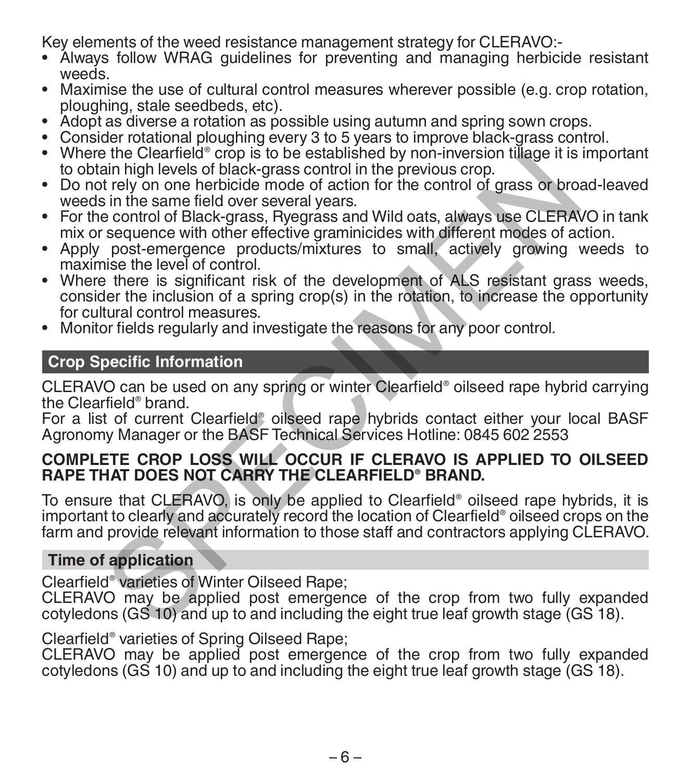Key elements of the weed resistance management strategy for CLERAVO:-

- Álways follow WRAG guidelines for preventing and managing herbicide resistant
- Maximise the use of cultural control measures wherever possible (e.g. crop rotation, ploughing, stale seedbeds, etc).
- 
- 
- ploughing, stale seedbeds, etc).<br>• Adopt as diverse a rotation as possible using autumn and spring sown crops.<br>• Consider rotational ploughing every 3 to 5 years to improve black-grass control.<br>• Where the Clearfield® crop to obtain high levels of black-grass control in the previous crop. • Do not rely on one herbicide mode of action for the control of grass or broad-leaved
- weeds in the same field over several years.
- For the control of Black-grass, Ryegrass and Wild oats, always use CLERAVO in tank mix or sequence with other effective graminicides with different modes of action.
- Apply post-emergence products/mixtures to small, actively growing weeds to maximise the level of control
- Where there is significant risk of the development of ALS resistant grass weeds, consider the inclusion of a spring crop(s) in the rotation, to increase the opportunity<br>for cultural control measures Fire Clearement Crop is to be established by non-inversion tudge it is<br>ain high levels of black-grass control in the previous crop.<br>The simple levels of black-grass control in the previous crop.<br>The simple of Black-grass,
- Monitor fields regularly and investigate the reasons for any poor control.

#### **Crop Specific Information**

CLERAVO can be used on any spring or winter Clearfield® oilseed rape hybrid carrying the Clearfield® brand.

For a list of current Clearfield® oilseed rape hybrids contact either your local BASF Agronomy Manager or the BASF Technical Services Hotline: 0845 602 2553

## **COMPLETE CROP LOSS WILL OCCUR IF CLERAVO IS APPLIED TO OILSEED RAPE THAT DOES NOT CARRY THE CLEARFIELD® BRAND.**

To ensure that CLERAVO, is only be applied to Clearfield® oilseed rape hybrids, it is important to clearly and accurately record the location of Clearfield® oilseed crops on the farm and provide relevant information to those staff and contractors applying CLERAVO.

#### **Time of application**

Clearfield® varieties of Winter Oilseed Rape;

CLERAVO may be applied post emergence of the crop from two fully expanded cotyledons (GS 10) and up to and including the eight true leaf growth stage (GS 18).

# Clearfield® varieties of Spring Oilseed Rape;

CLERAVO may be applied post emergence of the crop from two fully expanded cotyledons (GS 10) and up to and including the eight true leaf growth stage (GS 18).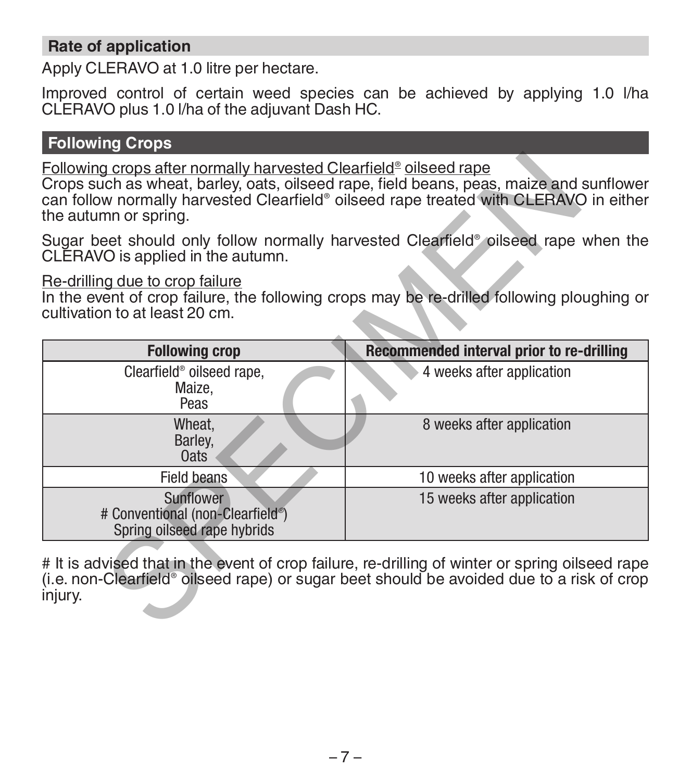# **Rate of application**

Apply CLERAVO at 1.0 litre per hectare.

Improved control of certain weed species can be achieved by applying 1.0 l/ha CLERAVO plus 1.0 l/ha of the adjuvant Dash HC.

## **Following Crops**

#### Re-drilling due to crop failure

| Following crops after normally harvested Clearfield <sup>®</sup> oilseed rape<br>the autumn or spring. | Crops such as wheat, barley, oats, oilseed rape, field beans, peas, maize and sunflower<br>can follow normally harvested Clearfield® oilseed rape treated with CLERAVO in either             |
|--------------------------------------------------------------------------------------------------------|----------------------------------------------------------------------------------------------------------------------------------------------------------------------------------------------|
| CLERAVO is applied in the autumn.                                                                      | Sugar beet should only follow normally harvested Clearfield <sup>®</sup> oilseed rape when the                                                                                               |
| Re-drilling due to crop failure<br>cultivation to at least 20 cm.                                      | In the event of crop failure, the following crops may be re-drilled following ploughing or                                                                                                   |
| <b>Following crop</b>                                                                                  | Recommended interval prior to re-drilling                                                                                                                                                    |
| Clearfield <sup>®</sup> oilseed rape,<br>Maize,<br>Peas                                                | 4 weeks after application                                                                                                                                                                    |
| Wheat,<br>Barley,<br><b>Oats</b>                                                                       | 8 weeks after application                                                                                                                                                                    |
| Field beans                                                                                            | 10 weeks after application                                                                                                                                                                   |
| Sunflower<br># Conventional (non-Clearfield <sup>®</sup> )<br>Spring oilseed rape hybrids              | 15 weeks after application                                                                                                                                                                   |
| injury.                                                                                                | # It is advised that in the event of crop failure, re-drilling of winter or spring oilseed rape<br>(i.e. non-Clearfield® oilseed rape) or sugar beet should be avoided due to a risk of crop |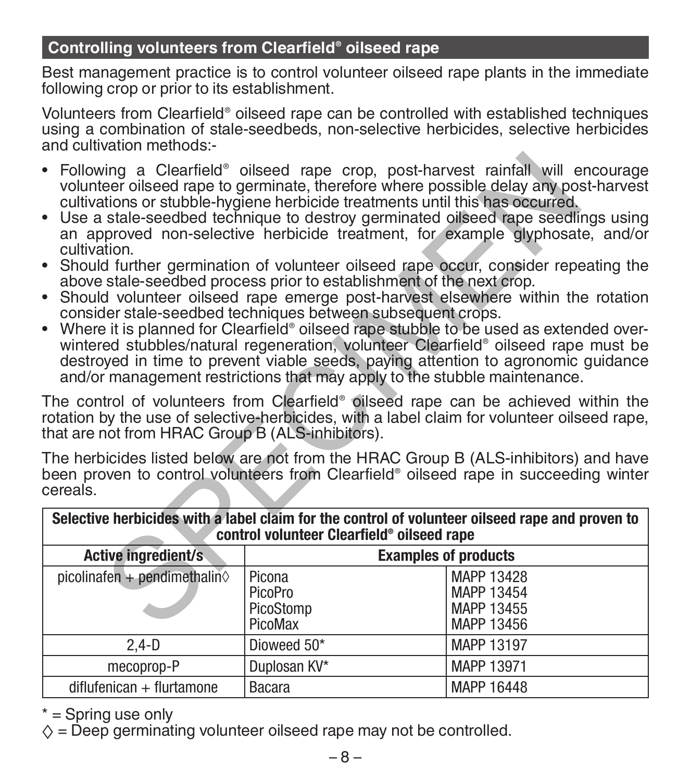# **Controlling volunteers from Clearfield® oilseed rape**

Best management practice is to control volunteer oilseed rape plants in the immediate following crop or prior to its establishment.

Volunteers from Clearfield® oilseed rape can be controlled with established techniques using a combination of stale-seedbeds, non-selective herbicides, selective herbicides and cultivation methods:-

- Following a Clearfield® oilseed rape crop, post-harvest rainfall will encourage volunteer oilseed rape to germinate, therefore where possible delay any post-harvest cultivations or stubble-hygiene herbicide treatments until this has occurred.
- Use a stale-seedbed technique to destroy germinated oilseed rape seedlings using an approved non-selective herbicide treatment, for example glyphosate, and/or cultivation.
- Should further germination of volunteer oilseed rape occur, consider repeating the above stale-seedbed process prior to establishment of the next crop.
- Should volunteer oilseed rape emerge post-harvest elsewhere within the rotation consider stale-seedbed techniques between subsequent crops.
- consider stale-seedbed techniques between subsequent crops. Where it is planned for Clearfield® oilseed rape stubble to be used as extended overwintered stubbles/natural regeneration, volunteer Clearfield® oilseed rape must be destroyed in time to prevent viable seeds, paying attention to agronomic guidance and/or management restrictions that may apply to the stubble maintenance.

| Following a Clearfield <sup>®</sup> oilseed rape crop, post-harvest rainfall will encourage<br>$\bullet$<br>volunteer oilseed rape to germinate, therefore where possible delay any post-harvest<br>cultivations or stubble-hygiene herbicide treatments until this has occurred.<br>• Use a stale-seedbed technique to destroy germinated oilseed rape seedlings using<br>an approved non-selective herbicide treatment, for example glyphosate, and/or<br>cultivation.<br>• Should further germination of volunteer oilseed rape occur, consider repeating the<br>above stale-seedbed process prior to establishment of the next crop.<br>• Should volunteer oilseed rape emerge post-harvest elsewhere within the rotation<br>consider stale-seedbed techniques between subsequent crops.<br>• Where it is planned for Clearfield® oilseed rape stubble to be used as extended over-<br>wintered stubbles/natural regeneration, volunteer Clearfield® oilseed rape must be<br>destroyed in time to prevent viable seeds, paying attention to agronomic guidance<br>and/or management restrictions that may apply to the stubble maintenance.<br>The control of volunteers from Clearfield <sup>®</sup> oilseed rape can be achieved within the<br>rotation by the use of selective-herbicides, with a label claim for volunteer oilseed rape,<br>that are not from HRAC Group B (ALS-inhibitors). |                                           |                                                                                                                                                                             |  |
|------------------------------------------------------------------------------------------------------------------------------------------------------------------------------------------------------------------------------------------------------------------------------------------------------------------------------------------------------------------------------------------------------------------------------------------------------------------------------------------------------------------------------------------------------------------------------------------------------------------------------------------------------------------------------------------------------------------------------------------------------------------------------------------------------------------------------------------------------------------------------------------------------------------------------------------------------------------------------------------------------------------------------------------------------------------------------------------------------------------------------------------------------------------------------------------------------------------------------------------------------------------------------------------------------------------------------------------------------------------------------------------------------|-------------------------------------------|-----------------------------------------------------------------------------------------------------------------------------------------------------------------------------|--|
| cereals.                                                                                                                                                                                                                                                                                                                                                                                                                                                                                                                                                                                                                                                                                                                                                                                                                                                                                                                                                                                                                                                                                                                                                                                                                                                                                                                                                                                             |                                           | The herbicides listed below are not from the HRAC Group B (ALS-inhibitors) and have<br>been proven to control volunteers from Clearfield® oilseed rape in succeeding winter |  |
| Selective herbicides with a label claim for the control of volunteer oilseed rape and proven to<br>control volunteer Clearfield® oilseed rape                                                                                                                                                                                                                                                                                                                                                                                                                                                                                                                                                                                                                                                                                                                                                                                                                                                                                                                                                                                                                                                                                                                                                                                                                                                        |                                           |                                                                                                                                                                             |  |
| Active ingredient/s                                                                                                                                                                                                                                                                                                                                                                                                                                                                                                                                                                                                                                                                                                                                                                                                                                                                                                                                                                                                                                                                                                                                                                                                                                                                                                                                                                                  |                                           | <b>Examples of products</b>                                                                                                                                                 |  |
| picolinafen + pendimethalin $\diamond$                                                                                                                                                                                                                                                                                                                                                                                                                                                                                                                                                                                                                                                                                                                                                                                                                                                                                                                                                                                                                                                                                                                                                                                                                                                                                                                                                               | Picona<br>PicoPro<br>PicoStomp<br>PicoMax | MAPP 13428<br>MAPP 13454<br>MAPP 13455<br>MAPP 13456                                                                                                                        |  |
| $2,4-D$                                                                                                                                                                                                                                                                                                                                                                                                                                                                                                                                                                                                                                                                                                                                                                                                                                                                                                                                                                                                                                                                                                                                                                                                                                                                                                                                                                                              | Dioweed 50*                               | MAPP 13197                                                                                                                                                                  |  |
| mecoprop-P                                                                                                                                                                                                                                                                                                                                                                                                                                                                                                                                                                                                                                                                                                                                                                                                                                                                                                                                                                                                                                                                                                                                                                                                                                                                                                                                                                                           | Duplosan KV*                              | MAPP 13971                                                                                                                                                                  |  |
| diflufenican + flurtamone                                                                                                                                                                                                                                                                                                                                                                                                                                                                                                                                                                                                                                                                                                                                                                                                                                                                                                                                                                                                                                                                                                                                                                                                                                                                                                                                                                            | Bacara                                    | MAPP 16448                                                                                                                                                                  |  |

 $*$  = Spring use only

 $\diamond$  = Deep germinating volunteer oilseed rape may not be controlled.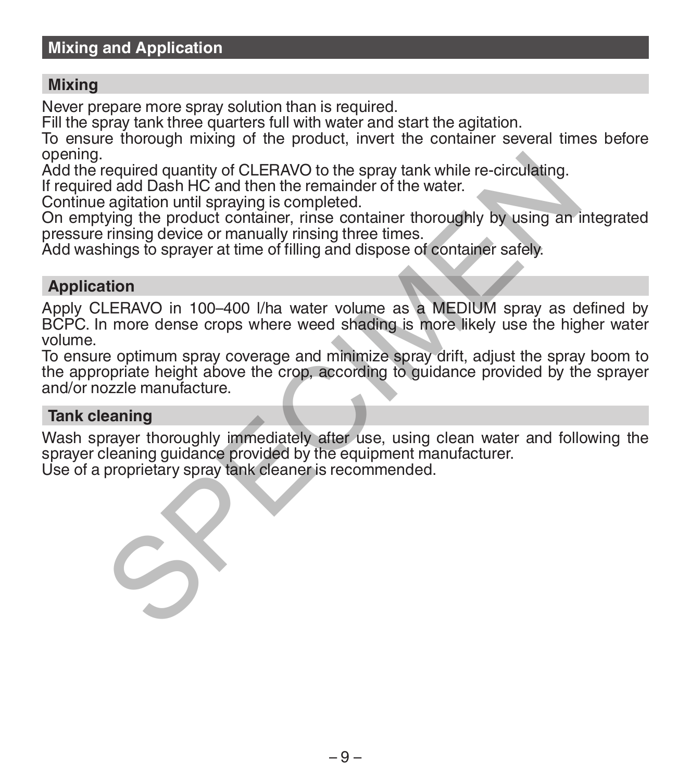## **Mixing and Application**

#### **Mixing**

Never prepare more spray solution than is required.

Fill the spray tank three quarters full with water and start the agitation.

To ensure thorough mixing of the product, invert the container several times before opening.

Add the required quantity of CLERAVO to the spray tank while re-circulating.

If required add Dash HC and then the remainder of the water.

Continue agitation until spraying is completed.

On emptying the product container, rinse container thoroughly by using an integrated pressure rinsing device or manually rinsing three times.

Add washings to sprayer at time of filling and dispose of container safely.

#### **Application**

Apply CLERAVO in 100–400 l/ha water volume as a MEDIUM spray as defined by BCPC. In more dense crops where weed shading is more likely use the higher water volume. required quantity of CLERAVO to the spray tank while re-circulating.<br>
and add Dash HC and then the remainder of the water.<br>
agitation until spraying is completed.<br>
agitation throughly by using any rinsing device or manuall

To ensure optimum spray coverage and minimize spray drift, adjust the spray boom to the appropriate height above the crop, according to guidance provided by the sprayer and/or nozzle manufacture.

#### **Tank cleaning**

Wash sprayer thoroughly immediately after use, using clean water and following the sprayer cleaning quidance provided by the equipment manufacturer. Use of a proprietary spray tank cleaner is recommended.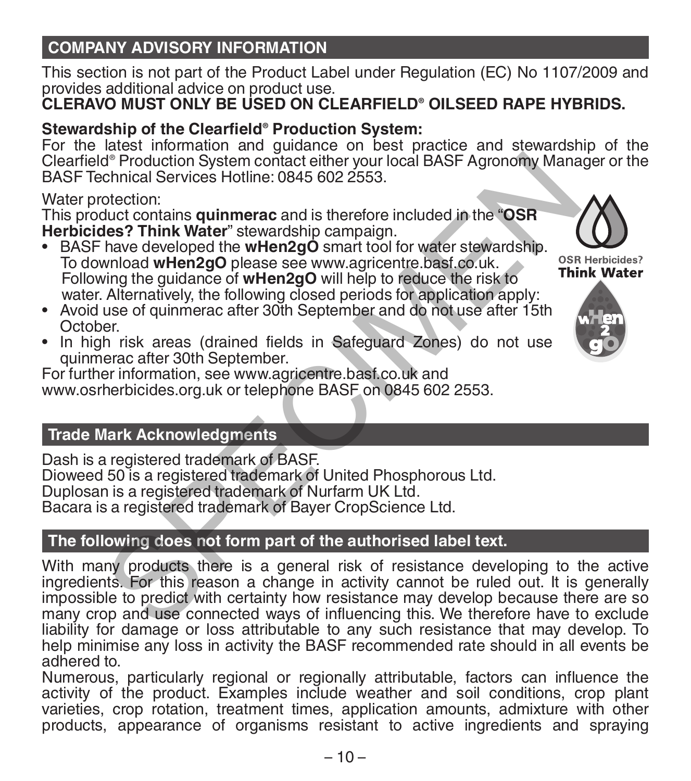# **COMPANY ADVISORY INFORMATION**

This section is not part of the Product Label under Regulation (EC) No 1107/2009 and provides additional advice on product use.

# **CLERAVO MUST ONLY BE USED ON CLEARFIELD® OILSEED RAPE HYBRIDS.**

# **Stewardship of the Clearfield® Production System:**

For the latest information and guidance on best practice and stewardship of the Clearfield® Production System contact either your local BASF Agronomy Manager or the BASF Technical Services Hotline: 0845 602 2553.

## Water protection:

This product contains **quinmerac** and is therefore included in the "**OSR Herbicides? Think Water**" stewardship campaign.

- BASF have developed the **wHen2gO** smart tool for water stewardship. To download **wHen2gO** please see www.agricentre.basf.co.uk. Following the guidance of **wHen2gO** will help to reduce the risk to water. Alternatively, the following closed periods for application apply:
- Avoid use of quinmerac after 30th September and do not use after 15th
- In high risk areas (drained fields in Safeguard Zones) do not use quinmerac after 30th September.

For further information, see www.agricentre.basf.co.uk and www.osrherbicides.org.uk or telephone BASF on 0845 602 2553.

# **Trade Mark Acknowledgments**

Dash is a registered trademark of BASF. Dioweed 50 is a registered trademark of United Phosphorous Ltd. Duplosan is a registered trademark of Nurfarm UK Ltd. Bacara is a registered trademark of Bayer CropScience Ltd.

# **The following does not form part of the authorised label text.**

With many products there is a general risk of resistance developing to the active ingredients. For this reason a change in activity cannot be ruled out. It is generally impossible to predict with certainty how resistance may develop because there are so many crop and use connected ways of influencing this. We therefore have to exclude liability for damage or loss attributable to any such resistance that may develop. To help minimise any loss in activity the BASF recommended rate should in all events be adhered to. de Production System contact either your local BASF Agronomy Mana<br>
chericial Services Hotline: 0845 602 2553.<br>
dection:<br>
dection:<br>
dection:<br>
dection:<br>
Analog developed the wHen2gO smart tool for water stewardship.<br>
Analog

Numerous, particularly regional or regionally attributable, factors can influence the activity of the product. Examples include weather and soil conditions, crop plant varieties, crop rotation, treatment times, application amounts, admixture with other products, appearance of organisms resistant to active ingredients and spraying



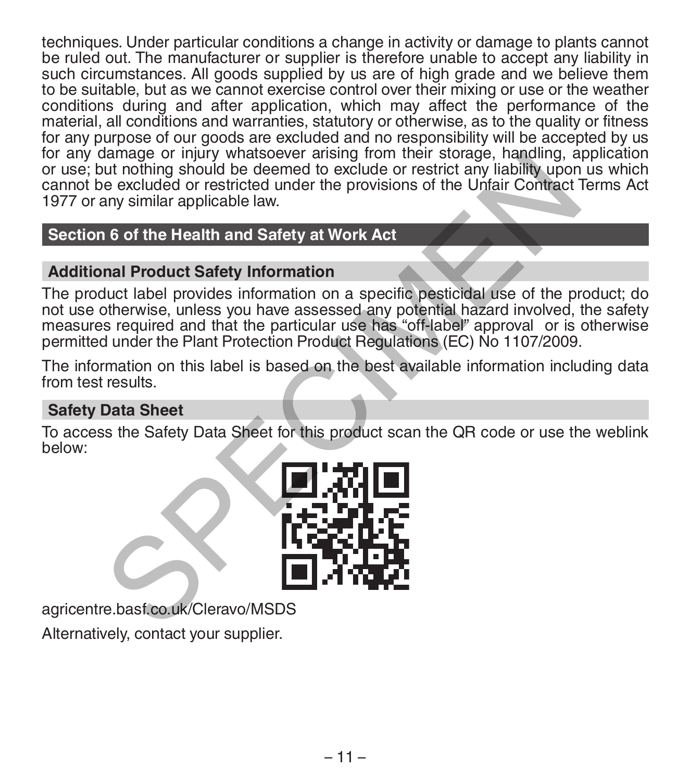techniques. Under particular conditions a change in activity or damage to plants cannot be ruled out. The manufacturer or supplier is therefore unable to accept any liability in such circumstances. All goods supplied by us are of high grade and we believe them to be suitable, but as we cannot exercise control over their mixing or use or the weather conditions during and after application, which may affect the performance of the material, all conditions and warranties, statutory or otherwise, as to the quality or fitness for any purpose of our goods are excluded and no responsibility will be accepted by us for any damage or injury whatsoever arising from their storage, handling, application or use; but nothing should be deemed to exclude or restrict any liability upon us which cannot be excluded or restricted under the provisions of the Unfair Contract Terms Act 1977 or any similar applicable law.

# **Section 6 of the Health and Safety at Work Act**

# **Additional Product Safety Information**

The product label provides information on a specific pesticidal use of the product; do not use otherwise, unless you have assessed any potential hazard involved, the safety measures required and that the particular use has "off-label" approval or is otherwise permitted under the Plant Protection Product Regulations (EC) No 1107/2009. Alternative or injury whatsoever ansing from their storage, natiomal, a<br>tut nothing should be deemed to exclude or restrict any liability upon<br>e excluded or restricted under the provisions of the Unfair Contract<br>any simila

The information on this label is based on the best available information including data from test results.

# **Safety Data Sheet**

To access the Safety Data Sheet for this product scan the QR code or use the weblink below:



agricentre.basf.co.uk/Cleravo/MSDS

Alternatively, contact your supplier.